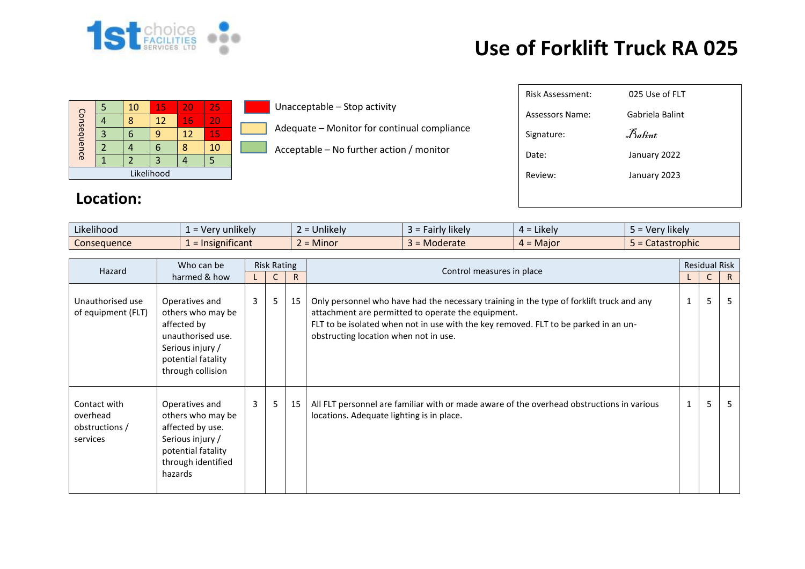

## **Use of Forklift Truck RA 025**

|             | 5 | 10 | 15 | 20 | 25 |  |  |
|-------------|---|----|----|----|----|--|--|
| Consequence |   | ጻ  | 12 | 16 | 20 |  |  |
|             | 3 | 6  | 9  | 12 | 15 |  |  |
|             |   |    | 6  |    | 10 |  |  |
|             |   |    | 3  |    |    |  |  |
| Likelihood  |   |    |    |    |    |  |  |

## **Location:**

Unacceptable – Stop activity

- Adequate Monitor for continual compliance
- Acceptable No further action / monitor

| Risk Assessment: | 025 Use of FLT    |
|------------------|-------------------|
| Assessors Name:  | Gabriela Balint   |
| Signature:       | $R_{\alpha}$ fint |
| Date:            | January 2022      |
| Review:          | January 2023      |
|                  |                   |
|                  |                   |

| Likelihood  | $\cdots$<br>unlikely<br>$N$ er<br>verv | <b>Jnlikely</b> | $\cdots$<br><b>likely</b><br>airly. | $\cdot$ $\cdot$ $\cdot$<br>$4 =$ Likely | $\cdots$<br>Very likely  |
|-------------|----------------------------------------|-----------------|-------------------------------------|-----------------------------------------|--------------------------|
| Consequence | <b>Insignificant</b>                   | Minor           | Moderate                            | $4 =$ Major                             | $\cdots$<br>Catastrophic |

| Hazard                                                 | Who can be                                                                                                                             | <b>Risk Rating</b> |   |              |                                                                                                                                                                                                                                                                                | <b>Residual Risk</b> |              |    |
|--------------------------------------------------------|----------------------------------------------------------------------------------------------------------------------------------------|--------------------|---|--------------|--------------------------------------------------------------------------------------------------------------------------------------------------------------------------------------------------------------------------------------------------------------------------------|----------------------|--------------|----|
|                                                        | harmed & how                                                                                                                           |                    | C | $\mathsf{R}$ | Control measures in place                                                                                                                                                                                                                                                      |                      | $\mathsf{C}$ | R  |
| Unauthorised use<br>of equipment (FLT)                 | Operatives and<br>others who may be<br>affected by<br>unauthorised use.<br>Serious injury /<br>potential fatality<br>through collision | $\mathbf{3}$       | 5 | 15           | Only personnel who have had the necessary training in the type of forklift truck and any<br>attachment are permitted to operate the equipment.<br>FLT to be isolated when not in use with the key removed. FLT to be parked in an un-<br>obstructing location when not in use. | 1                    | 5            | 5  |
| Contact with<br>overhead<br>obstructions /<br>services | Operatives and<br>others who may be<br>affected by use.<br>Serious injury /<br>potential fatality<br>through identified<br>hazards     | $\overline{3}$     | 5 | 15           | All FLT personnel are familiar with or made aware of the overhead obstructions in various<br>locations. Adequate lighting is in place.                                                                                                                                         | 1                    | 5            | -5 |